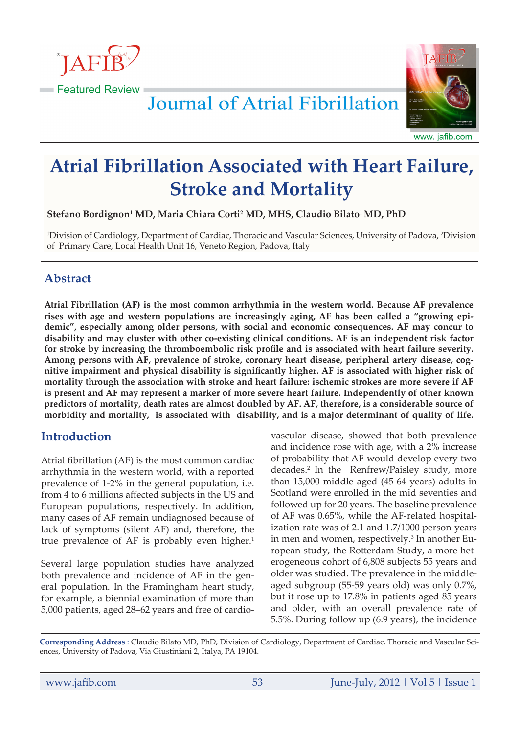



www. jafib.com

# **Atrial Fibrillation Associated with Heart Failure, Stroke and Mortality**

**Stefano Bordignon1 MD, Maria Chiara Corti2 MD, MHS, Claudio Bilato1 MD, PhD** 

1 Division of Cardiology, Department of Cardiac, Thoracic and Vascular Sciences, University of Padova, 2 Division of Primary Care, Local Health Unit 16, Veneto Region, Padova, Italy

# **Abstract**

**Atrial Fibrillation (AF) is the most common arrhythmia in the western world. Because AF prevalence rises with age and western populations are increasingly aging, AF has been called a "growing epidemic", especially among older persons, with social and economic consequences. AF may concur to disability and may cluster with other co-existing clinical conditions. AF is an independent risk factor for stroke by increasing the thromboembolic risk profile and is associated with heart failure severity. Among persons with AF, prevalence of stroke, coronary heart disease, peripheral artery disease, cognitive impairment and physical disability is significantly higher. AF is associated with higher risk of mortality through the association with stroke and heart failure: ischemic strokes are more severe if AF is present and AF may represent a marker of more severe heart failure. Independently of other known predictors of mortality, death rates are almost doubled by AF. AF, therefore, is a considerable source of morbidity and mortality, is associated with disability, and is a major determinant of quality of life.**

# **Introduction**

Atrial fibrillation (AF) is the most common cardiac arrhythmia in the western world, with a reported prevalence of 1-2% in the general population, i.e. from 4 to 6 millions affected subjects in the US and European populations, respectively. In addition, many cases of AF remain undiagnosed because of lack of symptoms (silent AF) and, therefore, the true prevalence of AF is probably even higher.<sup>1</sup>

Several large population studies have analyzed both prevalence and incidence of AF in the general population. In the Framingham heart study, for example, a biennial examination of more than 5,000 patients, aged 28–62 years and free of cardio-

vascular disease, showed that both prevalence and incidence rose with age, with a 2% increase of probability that AF would develop every two decades.2 In the Renfrew/Paisley study, more than 15,000 middle aged (45-64 years) adults in Scotland were enrolled in the mid seventies and followed up for 20 years. The baseline prevalence of AF was 0.65%, while the AF-related hospitalization rate was of 2.1 and 1.7/1000 person-years in men and women, respectively.<sup>3</sup> In another European study, the Rotterdam Study, a more heterogeneous cohort of 6,808 subjects 55 years and older was studied. The prevalence in the middleaged subgroup (55-59 years old) was only 0.7%, but it rose up to 17.8% in patients aged 85 years and older, with an overall prevalence rate of 5.5%. During follow up (6.9 years), the incidence

**Corresponding Address** : Claudio Bilato MD, PhD, Division of Cardiology, Department of Cardiac, Thoracic and Vascular Sciences, University of Padova, Via Giustiniani 2, Italya, PA 19104.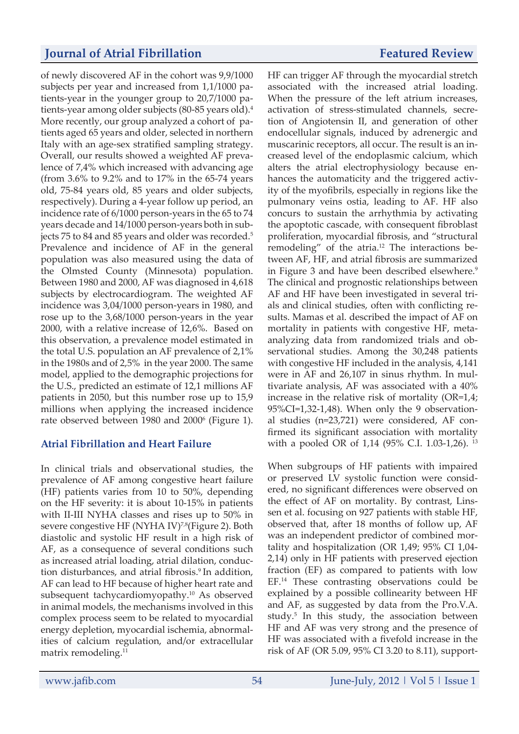HF can trigger AF through the myocardial stretch

of newly discovered AF in the cohort was 9,9/1000 subjects per year and increased from 1,1/1000 patients-year in the younger group to 20,7/1000 patients-year among older subjects (80-85 years old).4 More recently, our group analyzed a cohort of patients aged 65 years and older, selected in northern Italy with an age-sex stratified sampling strategy. Overall, our results showed a weighted AF prevalence of 7,4% which increased with advancing age (from 3.6% to 9.2% and to 17% in the 65-74 years old, 75-84 years old, 85 years and older subjects, respectively). During a 4-year follow up period, an incidence rate of 6/1000 person-years in the 65 to 74 years decade and 14/1000 person-years both in subjects 75 to 84 and 85 years and older was recorded.<sup>5</sup> Prevalence and incidence of AF in the general population was also measured using the data of the Olmsted County (Minnesota) population. Between 1980 and 2000, AF was diagnosed in 4,618 subjects by electrocardiogram. The weighted AF incidence was 3,04/1000 person-years in 1980, and rose up to the 3,68/1000 person-years in the year 2000, with a relative increase of 12,6%. Based on this observation, a prevalence model estimated in the total U.S. population an AF prevalence of 2,1% in the 1980s and of 2,5% in the year 2000. The same model, applied to the demographic projections for the U.S., predicted an estimate of 12,1 millions AF patients in 2050, but this number rose up to 15,9 millions when applying the increased incidence rate observed between 1980 and 2000<sup>6</sup> (Figure 1).

#### **Atrial Fibrillation and Heart Failure**

In clinical trials and observational studies, the prevalence of AF among congestive heart failure (HF) patients varies from 10 to 50%, depending on the HF severity: it is about 10-15% in patients with II-III NYHA classes and rises up to 50% in severe congestive HF (NYHA IV)<sup>7,8</sup>(Figure 2). Both diastolic and systolic HF result in a high risk of AF, as a consequence of several conditions such as increased atrial loading, atrial dilation, conduction disturbances, and atrial fibrosis.<sup>9</sup> In addition, AF can lead to HF because of higher heart rate and subsequent tachycardiomyopathy.10 As observed in animal models, the mechanisms involved in this complex process seem to be related to myocardial energy depletion, myocardial ischemia, abnormalities of calcium regulation, and/or extracellular matrix remodeling.<sup>11</sup>

associated with the increased atrial loading. When the pressure of the left atrium increases, activation of stress-stimulated channels, secretion of Angiotensin II, and generation of other endocellular signals, induced by adrenergic and muscarinic receptors, all occur. The result is an increased level of the endoplasmic calcium, which alters the atrial electrophysiology because enhances the automaticity and the triggered activity of the myofibrils, especially in regions like the pulmonary veins ostia, leading to AF. HF also concurs to sustain the arrhythmia by activating the apoptotic cascade, with consequent fibroblast proliferation, myocardial fibrosis, and "structural remodeling" of the atria.<sup>12</sup> The interactions between AF, HF, and atrial fibrosis are summarized in Figure 3 and have been described elsewhere.<sup>9</sup> The clinical and prognostic relationships between AF and HF have been investigated in several trials and clinical studies, often with conflicting results. Mamas et al. described the impact of AF on mortality in patients with congestive HF, metaanalyzing data from randomized trials and observational studies. Among the 30,248 patients with congestive HF included in the analysis, 4,141 were in AF and 26,107 in sinus rhythm. In multivariate analysis, AF was associated with a 40% increase in the relative risk of mortality (OR=1,4; 95%CI=1,32-1,48). When only the 9 observational studies (n=23,721) were considered, AF confirmed its significant association with mortality with a pooled OR of 1,14 (95% C.I. 1.03-1,26). 13

When subgroups of HF patients with impaired or preserved LV systolic function were considered, no significant differences were observed on the effect of AF on mortality. By contrast, Linssen et al. focusing on 927 patients with stable HF, observed that, after 18 months of follow up, AF was an independent predictor of combined mortality and hospitalization (OR 1,49; 95% CI 1,04- 2,14) only in HF patients with preserved ejection fraction (EF) as compared to patients with low EF.14 These contrasting observations could be explained by a possible collinearity between HF and AF, as suggested by data from the Pro.V.A. study.<sup>5</sup> In this study, the association between HF and AF was very strong and the presence of HF was associated with a fivefold increase in the risk of AF (OR 5.09, 95% CI 3.20 to 8.11), support-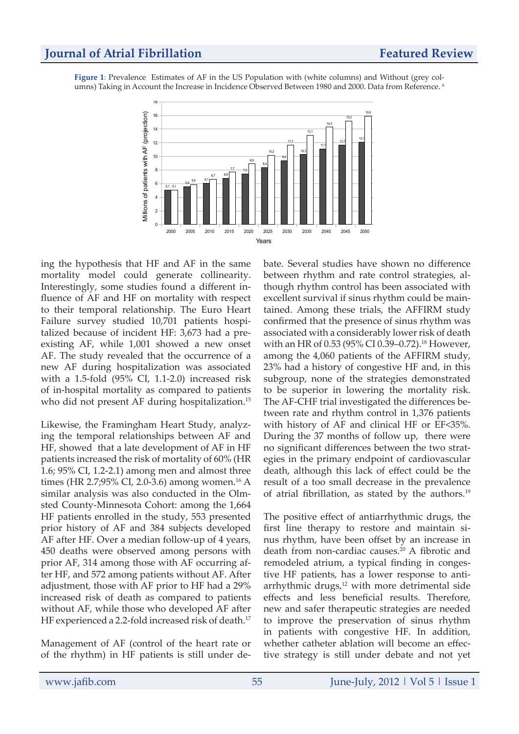**Figure 1:** Prevalence Estimates of AF in the US Population with (white columns) and Without (grey columns) Taking in Account the Increase in Incidence Observed Between 1980 and 2000. Data from Reference. 6



ing the hypothesis that HF and AF in the same mortality model could generate collinearity. Interestingly, some studies found a different influence of AF and HF on mortality with respect to their temporal relationship. The Euro Heart Failure survey studied 10,701 patients hospitalized because of incident HF: 3,673 had a preexisting AF, while 1,001 showed a new onset AF. The study revealed that the occurrence of a new AF during hospitalization was associated with a 1.5-fold (95% CI, 1.1-2.0) increased risk of in-hospital mortality as compared to patients who did not present AF during hospitalization.<sup>15</sup>

Likewise, the Framingham Heart Study, analyzing the temporal relationships between AF and HF, showed that a late development of AF in HF patients increased the risk of mortality of 60% (HR 1.6; 95% CI, 1.2-2.1) among men and almost three times (HR 2.7;95% CI, 2.0-3.6) among women.<sup>16</sup> A similar analysis was also conducted in the Olmsted County-Minnesota Cohort: among the 1,664 HF patients enrolled in the study, 553 presented prior history of AF and 384 subjects developed AF after HF. Over a median follow-up of 4 years, 450 deaths were observed among persons with prior AF, 314 among those with AF occurring after HF, and 572 among patients without AF. After adjustment, those with AF prior to HF had a 29% increased risk of death as compared to patients without AF, while those who developed AF after HF experienced a 2.2-fold increased risk of death.<sup>17</sup>

Management of AF (control of the heart rate or of the rhythm) in HF patients is still under debate. Several studies have shown no difference between rhythm and rate control strategies, although rhythm control has been associated with excellent survival if sinus rhythm could be maintained. Among these trials, the AFFIRM study confirmed that the presence of sinus rhythm was associated with a considerably lower risk of death with an HR of 0.53 (95% CI 0.39–0.72).<sup>18</sup> However, among the 4,060 patients of the AFFIRM study, 23% had a history of congestive HF and, in this subgroup, none of the strategies demonstrated to be superior in lowering the mortality risk. The AF-CHF trial investigated the differences between rate and rhythm control in 1,376 patients with history of AF and clinical HF or EF<35%. During the 37 months of follow up, there were no significant differences between the two strategies in the primary endpoint of cardiovascular death, although this lack of effect could be the result of a too small decrease in the prevalence of atrial fibrillation, as stated by the authors.19

The positive effect of antiarrhythmic drugs, the first line therapy to restore and maintain sinus rhythm, have been offset by an increase in death from non-cardiac causes.<sup>20</sup> A fibrotic and remodeled atrium, a typical finding in congestive HF patients, has a lower response to antiarrhythmic drugs,<sup>12</sup> with more detrimental side effects and less beneficial results. Therefore, new and safer therapeutic strategies are needed to improve the preservation of sinus rhythm in patients with congestive HF. In addition, whether catheter ablation will become an effective strategy is still under debate and not yet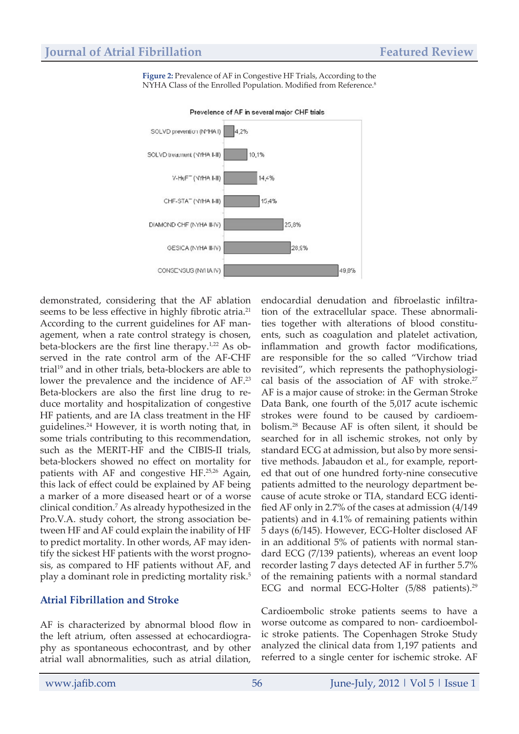**Figure 2:** Prevalence of AF in Congestive HF Trials, According to the NYHA Class of the Enrolled Population. Modified from Reference.<sup>8</sup>



Prevelence of AF in several major CHF trials

demonstrated, considering that the AF ablation seems to be less effective in highly fibrotic atria.<sup>21</sup> According to the current guidelines for AF management, when a rate control strategy is chosen, beta-blockers are the first line therapy.<sup>1,22</sup> As observed in the rate control arm of the AF-CHF trial<sup>19</sup> and in other trials, beta-blockers are able to lower the prevalence and the incidence of AF.23 Beta-blockers are also the first line drug to reduce mortality and hospitalization of congestive HF patients, and are IA class treatment in the HF guidelines.24 However, it is worth noting that, in some trials contributing to this recommendation, such as the MERIT-HF and the CIBIS-II trials, beta-blockers showed no effect on mortality for patients with AF and congestive HF.25,26 Again, this lack of effect could be explained by AF being a marker of a more diseased heart or of a worse clinical condition.7 As already hypothesized in the Pro.V.A. study cohort, the strong association between HF and AF could explain the inability of HF to predict mortality. In other words, AF may identify the sickest HF patients with the worst prognosis, as compared to HF patients without AF, and play a dominant role in predicting mortality risk.<sup>5</sup>

#### **Atrial Fibrillation and Stroke**

AF is characterized by abnormal blood flow in the left atrium, often assessed at echocardiography as spontaneous echocontrast, and by other atrial wall abnormalities, such as atrial dilation,

endocardial denudation and fibroelastic infiltration of the extracellular space. These abnormalities together with alterations of blood constituents, such as coagulation and platelet activation, inflammation and growth factor modifications, are responsible for the so called "Virchow triad revisited", which represents the pathophysiological basis of the association of AF with stroke.<sup>27</sup> AF is a major cause of stroke: in the German Stroke Data Bank, one fourth of the 5,017 acute ischemic strokes were found to be caused by cardioembolism.28 Because AF is often silent, it should be searched for in all ischemic strokes, not only by standard ECG at admission, but also by more sensitive methods. Jabaudon et al., for example, reported that out of one hundred forty-nine consecutive patients admitted to the neurology department because of acute stroke or TIA, standard ECG identified AF only in 2.7% of the cases at admission (4/149 patients) and in 4.1% of remaining patients within 5 days (6/145). However, ECG-Holter disclosed AF in an additional 5% of patients with normal standard ECG (7/139 patients), whereas an event loop recorder lasting 7 days detected AF in further 5.7% of the remaining patients with a normal standard ECG and normal ECG-Holter (5/88 patients).<sup>29</sup>

Cardioembolic stroke patients seems to have a worse outcome as compared to non- cardioembolic stroke patients. The Copenhagen Stroke Study analyzed the clinical data from 1,197 patients and referred to a single center for ischemic stroke. AF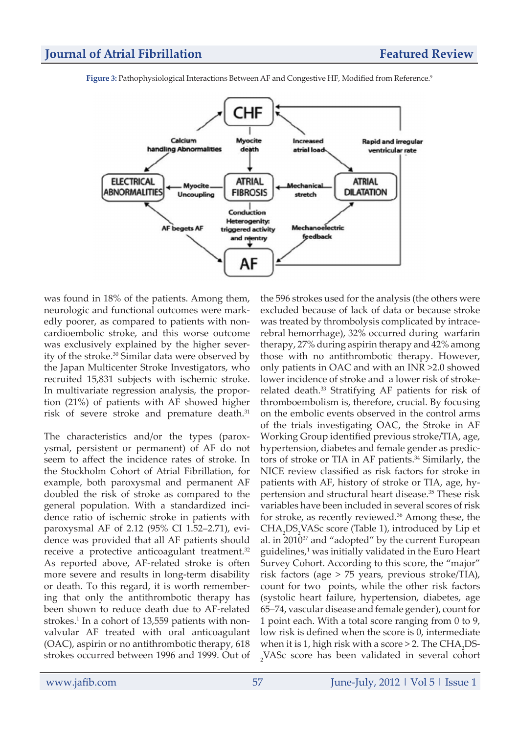

Figure 3: Pathophysiological Interactions Between AF and Congestive HF, Modified from Reference.<sup>9</sup>

was found in 18% of the patients. Among them, neurologic and functional outcomes were markedly poorer, as compared to patients with noncardioembolic stroke, and this worse outcome was exclusively explained by the higher severity of the stroke.30 Similar data were observed by the Japan Multicenter Stroke Investigators, who recruited 15,831 subjects with ischemic stroke. In multivariate regression analysis, the proportion (21%) of patients with AF showed higher risk of severe stroke and premature death.<sup>31</sup>

The characteristics and/or the types (paroxysmal, persistent or permanent) of AF do not seem to affect the incidence rates of stroke. In the Stockholm Cohort of Atrial Fibrillation, for example, both paroxysmal and permanent AF doubled the risk of stroke as compared to the general population. With a standardized incidence ratio of ischemic stroke in patients with paroxysmal AF of 2.12 (95% CI 1.52–2.71), evidence was provided that all AF patients should receive a protective anticoagulant treatment.<sup>32</sup> As reported above, AF-related stroke is often more severe and results in long-term disability or death. To this regard, it is worth remembering that only the antithrombotic therapy has been shown to reduce death due to AF-related strokes.<sup>1</sup> In a cohort of 13,559 patients with nonvalvular AF treated with oral anticoagulant (OAC), aspirin or no antithrombotic therapy, 618 strokes occurred between 1996 and 1999. Out of

the 596 strokes used for the analysis (the others were excluded because of lack of data or because stroke was treated by thrombolysis complicated by intracerebral hemorrhage), 32% occurred during warfarin therapy, 27% during aspirin therapy and 42% among those with no antithrombotic therapy. However, only patients in OAC and with an INR >2.0 showed lower incidence of stroke and a lower risk of strokerelated death.<sup>33</sup> Stratifying AF patients for risk of thromboembolism is, therefore, crucial. By focusing on the embolic events observed in the control arms of the trials investigating OAC, the Stroke in AF Working Group identified previous stroke/TIA, age, hypertension, diabetes and female gender as predictors of stroke or TIA in AF patients.<sup>34</sup> Similarly, the NICE review classified as risk factors for stroke in patients with AF, history of stroke or TIA, age, hypertension and structural heart disease.<sup>35</sup> These risk variables have been included in several scores of risk for stroke, as recently reviewed.<sup>36</sup> Among these, the  $CHA<sub>2</sub>DS<sub>2</sub> VASC score (Table 1), introduced by Lip et$ al. in 201037 and "adopted" by the current European guidelines,<sup>1</sup> was initially validated in the Euro Heart Survey Cohort. According to this score, the "major" risk factors (age > 75 years, previous stroke/TIA), count for two points, while the other risk factors (systolic heart failure, hypertension, diabetes, age 65–74, vascular disease and female gender), count for 1 point each. With a total score ranging from 0 to 9, low risk is defined when the score is 0, intermediate when it is 1, high risk with a score  $>$  2. The CHA<sub>2</sub>DS-2 VASc score has been validated in several cohort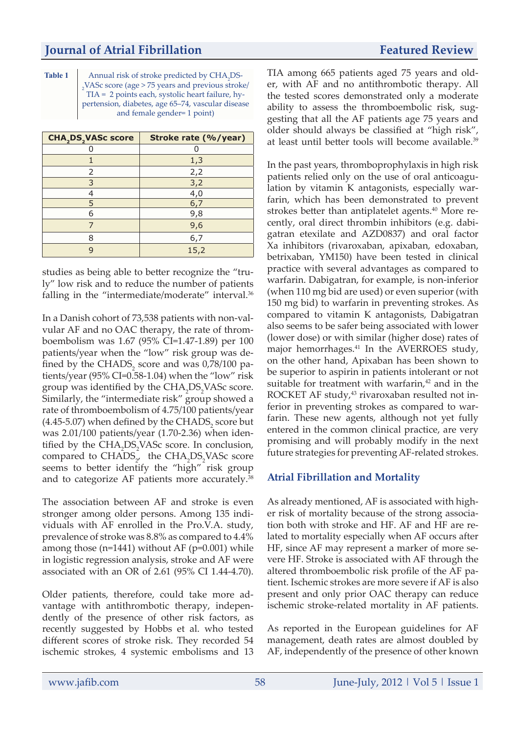Table 1 Annual risk of stroke predicted by CHA<sub>2</sub>DS- $_{2}$ VAS $c$  score (age > 75 years and previous stroke/ TIA = 2 points each, systolic heart failure, hypertension, diabetes, age 65–74, vascular disease and female gender= 1 point)

| <b>CHA<sub>2</sub>DS<sub>2</sub>VASc score</b> | Stroke rate (%/year) |
|------------------------------------------------|----------------------|
|                                                |                      |
|                                                | 1,3                  |
| 2                                              | 2,2                  |
| 3                                              | 3,2                  |
|                                                | 4,0                  |
| 5                                              | 6,7                  |
| 6                                              | 9,8                  |
|                                                | 9,6                  |
| 8                                              | 6,7                  |
|                                                | 15,2                 |

studies as being able to better recognize the "truly" low risk and to reduce the number of patients falling in the "intermediate/moderate" interval.<sup>36</sup>

In a Danish cohort of 73,538 patients with non-valvular AF and no OAC therapy, the rate of thromboembolism was 1.67 (95% CI=1.47-1.89) per 100 patients/year when the "low" risk group was defined by the  $\text{CHADS}_{2}$  score and was 0,78/100 patients/year (95% CI=0.58-1.04) when the "low" risk group was identified by the  $CHA_2DS_2VASc$  score. Similarly, the "intermediate risk" group showed a rate of thromboembolism of 4.75/100 patients/year (4.45-5.07) when defined by the  $\mathrm{CHADS}_2$  score but was 2.01/100 patients/year (1.70-2.36) when identified by the CHA<sub>2</sub>DS<sub>2</sub>VASc score. In conclusion, compared to  $\text{CHADS}_{2'}$  the  $\text{CHA}_2\text{DS}_2\text{VASC score}$ seems to better identify the "high" risk group and to categorize AF patients more accurately.<sup>38</sup>

The association between AF and stroke is even stronger among older persons. Among 135 individuals with AF enrolled in the Pro.V.A. study, prevalence of stroke was 8.8% as compared to 4.4% among those  $(n=1441)$  without AF  $(p=0.001)$  while in logistic regression analysis, stroke and AF were associated with an OR of 2.61 (95% CI 1.44-4.70).

Older patients, therefore, could take more advantage with antithrombotic therapy, independently of the presence of other risk factors, as recently suggested by Hobbs et al. who tested different scores of stroke risk. They recorded 54 ischemic strokes, 4 systemic embolisms and 13

TIA among 665 patients aged 75 years and older, with AF and no antithrombotic therapy. All the tested scores demonstrated only a moderate ability to assess the thromboembolic risk, suggesting that all the AF patients age 75 years and older should always be classified at "high risk", at least until better tools will become available.<sup>39</sup>

In the past years, thromboprophylaxis in high risk patients relied only on the use of oral anticoagulation by vitamin K antagonists, especially warfarin, which has been demonstrated to prevent strokes better than antiplatelet agents.<sup>40</sup> More recently, oral direct thrombin inhibitors (e.g. dabigatran etexilate and AZD0837) and oral factor Xa inhibitors (rivaroxaban, apixaban, edoxaban, betrixaban, YM150) have been tested in clinical practice with several advantages as compared to warfarin. Dabigatran, for example, is non-inferior (when 110 mg bid are used) or even superior (with 150 mg bid) to warfarin in preventing strokes. As compared to vitamin K antagonists, Dabigatran also seems to be safer being associated with lower (lower dose) or with similar (higher dose) rates of major hemorrhages.<sup>41</sup> In the AVERROES study, on the other hand, Apixaban has been shown to be superior to aspirin in patients intolerant or not suitable for treatment with warfarin, $42$  and in the ROCKET AF study,<sup>43</sup> rivaroxaban resulted not inferior in preventing strokes as compared to warfarin. These new agents, although not yet fully entered in the common clinical practice, are very promising and will probably modify in the next future strategies for preventing AF-related strokes.

### **Atrial Fibrillation and Mortality**

As already mentioned, AF is associated with higher risk of mortality because of the strong association both with stroke and HF. AF and HF are related to mortality especially when AF occurs after HF, since AF may represent a marker of more severe HF. Stroke is associated with AF through the altered thromboembolic risk profile of the AF patient. Ischemic strokes are more severe if AF is also present and only prior OAC therapy can reduce ischemic stroke-related mortality in AF patients.

As reported in the European guidelines for AF management, death rates are almost doubled by AF, independently of the presence of other known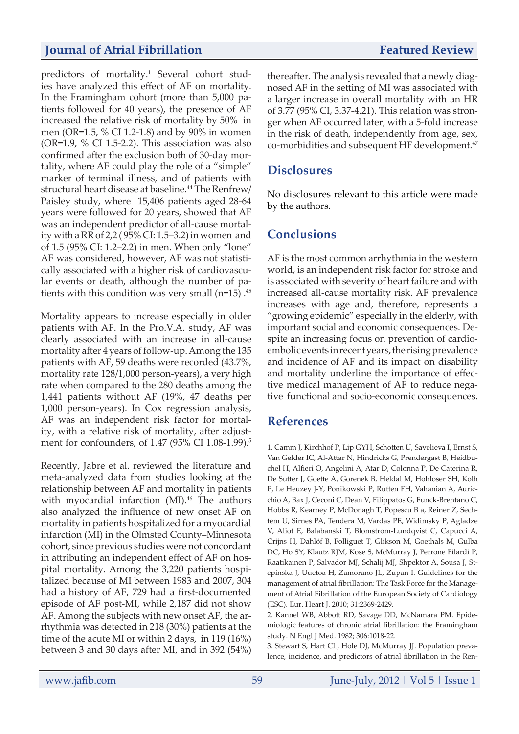predictors of mortality.<sup>1</sup> Several cohort studies have analyzed this effect of AF on mortality. In the Framingham cohort (more than 5,000 patients followed for 40 years), the presence of AF increased the relative risk of mortality by 50% in men (OR=1.5, % CI 1.2-1.8) and by 90% in women (OR=1.9, % CI 1.5-2.2). This association was also confirmed after the exclusion both of 30-day mortality, where AF could play the role of a "simple" marker of terminal illness, and of patients with structural heart disease at baseline.<sup>44</sup> The Renfrew/ Paisley study, where 15,406 patients aged 28-64 years were followed for 20 years, showed that AF was an independent predictor of all-cause mortality with a RR of 2,2 ( 95% CI: 1.5–3.2) in women and of 1.5 (95% CI: 1.2–2.2) in men. When only "lone" AF was considered, however, AF was not statistically associated with a higher risk of cardiovascular events or death, although the number of patients with this condition was very small ( $n=15$ ).<sup>45</sup>

Mortality appears to increase especially in older patients with AF. In the Pro.V.A. study, AF was clearly associated with an increase in all-cause mortality after 4 years of follow-up. Among the 135 patients with AF, 59 deaths were recorded (43.7%, mortality rate 128/1,000 person-years), a very high rate when compared to the 280 deaths among the 1,441 patients without AF (19%, 47 deaths per 1,000 person-years). In Cox regression analysis, AF was an independent risk factor for mortality, with a relative risk of mortality, after adjustment for confounders, of 1.47 (95% CI 1.08-1.99).<sup>5</sup>

Recently, Jabre et al. reviewed the literature and meta-analyzed data from studies looking at the relationship between AF and mortality in patients with myocardial infarction (MI).<sup>46</sup> The authors also analyzed the influence of new onset AF on mortality in patients hospitalized for a myocardial infarction (MI) in the Olmsted County–Minnesota cohort, since previous studies were not concordant in attributing an independent effect of AF on hospital mortality. Among the 3,220 patients hospitalized because of MI between 1983 and 2007, 304 had a history of AF, 729 had a first-documented episode of AF post-MI, while 2,187 did not show AF. Among the subjects with new onset AF, the arrhythmia was detected in 218 (30%) patients at the time of the acute MI or within 2 days, in 119 (16%) between 3 and 30 days after MI, and in 392 (54%)

thereafter. The analysis revealed that a newly diagnosed AF in the setting of MI was associated with a larger increase in overall mortality with an HR of 3.77 (95% CI, 3.37-4.21). This relation was stronger when AF occurred later, with a 5-fold increase in the risk of death, independently from age, sex, co-morbidities and subsequent HF development.<sup>47</sup>

#### **Disclosures**

No disclosures relevant to this article were made by the authors.

# **Conclusions**

AF is the most common arrhythmia in the western world, is an independent risk factor for stroke and is associated with severity of heart failure and with increased all-cause mortality risk. AF prevalence increases with age and, therefore, represents a "growing epidemic" especially in the elderly, with important social and economic consequences. Despite an increasing focus on prevention of cardioembolic events in recent years, the rising prevalence and incidence of AF and its impact on disability and mortality underline the importance of effective medical management of AF to reduce negative functional and socio-economic consequences.

### **References**

1. Camm J, Kirchhof P, Lip GYH, Schotten U, Savelieva I, Ernst S, Van Gelder IC, Al-Attar N, Hindricks G, Prendergast B, Heidbuchel H, Alfieri O, Angelini A, Atar D, Colonna P, De Caterina R, De Sutter J, Goette A, Gorenek B, Heldal M, Hohloser SH, Kolh P, Le Heuzey J-Y, Ponikowski P, Rutten FH, Vahanian A, Auricchio A, Bax J, Ceconi C, Dean V, Filippatos G, Funck-Brentano C, Hobbs R, Kearney P, McDonagh T, Popescu B a, Reiner Z, Sechtem U, Sirnes PA, Tendera M, Vardas PE, Widimsky P, Agladze V, Aliot E, Balabanski T, Blomstrom-Lundqvist C, Capucci A, Crijns H, Dahlöf B, Folliguet T, Glikson M, Goethals M, Gulba DC, Ho SY, Klautz RJM, Kose S, McMurray J, Perrone Filardi P, Raatikainen P, Salvador MJ, Schalij MJ, Shpektor A, Sousa J, Stepinska J, Uuetoa H, Zamorano JL, Zupan I. Guidelines for the management of atrial fibrillation: The Task Force for the Management of Atrial Fibrillation of the European Society of Cardiology (ESC). Eur. Heart J. 2010; 31:2369-2429.

2. Kannel WB, Abbott RD, Savage DD, McNamara PM. Epidemiologic features of chronic atrial fibrillation: the Framingham study. N Engl J Med. 1982; 306:1018-22.

3. Stewart S, Hart CL, Hole DJ, McMurray JJ. Population prevalence, incidence, and predictors of atrial fibrillation in the Ren-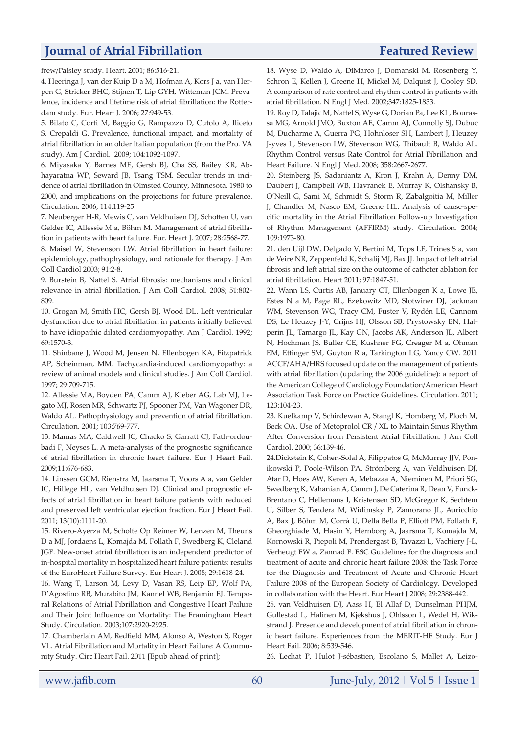frew/Paisley study. Heart. 2001; 86:516-21.

4. Heeringa J, van der Kuip D a M, Hofman A, Kors J a, van Herpen G, Stricker BHC, Stijnen T, Lip GYH, Witteman JCM. Prevalence, incidence and lifetime risk of atrial fibrillation: the Rotterdam study. Eur. Heart J. 2006; 27:949-53.

5. Bilato C, Corti M, Baggio G, Rampazzo D, Cutolo A, Iliceto S, Crepaldi G. Prevalence, functional impact, and mortality of atrial fibrillation in an older Italian population (from the Pro. VA study). Am J Cardiol. 2009; 104:1092-1097.

6. Miyasaka Y, Barnes ME, Gersh BJ, Cha SS, Bailey KR, Abhayaratna WP, Seward JB, Tsang TSM. Secular trends in incidence of atrial fibrillation in Olmsted County, Minnesota, 1980 to 2000, and implications on the projections for future prevalence. Circulation. 2006; 114:119-25.

7. Neuberger H-R, Mewis C, van Veldhuisen DJ, Schotten U, van Gelder IC, Allessie M a, Böhm M. Management of atrial fibrillation in patients with heart failure. Eur. Heart J. 2007; 28:2568-77.

8. Maisel W, Stevenson LW. Atrial fibrillation in heart failure: epidemiology, pathophysiology, and rationale for therapy. J Am Coll Cardiol 2003; 91:2-8.

9. Burstein B, Nattel S. Atrial fibrosis: mechanisms and clinical relevance in atrial fibrillation. J Am Coll Cardiol. 2008; 51:802- 809.

10. Grogan M, Smith HC, Gersh BJ, Wood DL. Left ventricular dysfunction due to atrial fibrillation in patients initially believed to have idiopathic dilated cardiomyopathy. Am J Cardiol. 1992; 69:1570-3.

11. Shinbane J, Wood M, Jensen N, Ellenbogen KA, Fitzpatrick AP, Scheinman, MM. Tachycardia-induced cardiomyopathy: a review of animal models and clinical studies. J Am Coll Cardiol. 1997; 29:709-715.

12. Allessie MA, Boyden PA, Camm AJ, Kleber AG, Lab MJ, Legato MJ, Rosen MR, Schwartz PJ, Spooner PM, Van Wagoner DR, Waldo AL. Pathophysiology and prevention of atrial fibrillation. Circulation. 2001; 103:769-777.

13. Mamas MA, Caldwell JC, Chacko S, Garratt CJ, Fath-ordoubadi F, Neyses L. A meta-analysis of the prognostic significance of atrial fibrillation in chronic heart failure. Eur J Heart Fail. 2009;11:676-683.

14. Linssen GCM, Rienstra M, Jaarsma T, Voors A a, van Gelder IC, Hillege HL, van Veldhuisen DJ. Clinical and prognostic effects of atrial fibrillation in heart failure patients with reduced and preserved left ventricular ejection fraction. Eur J Heart Fail. 2011; 13(10):1111-20.

15. Rivero-Ayerza M, Scholte Op Reimer W, Lenzen M, Theuns D a MJ, Jordaens L, Komajda M, Follath F, Swedberg K, Cleland JGF. New-onset atrial fibrillation is an independent predictor of in-hospital mortality in hospitalized heart failure patients: results of the EuroHeart Failure Survey. Eur Heart J. 2008; 29:1618-24.

16. Wang T, Larson M, Levy D, Vasan RS, Leip EP, Wolf PA, D'Agostino RB, Murabito JM, Kannel WB, Benjamin EJ. Temporal Relations of Atrial Fibrillation and Congestive Heart Failure and Their Joint Influence on Mortality: The Framingham Heart Study. Circulation. 2003;107:2920-2925.

17. Chamberlain AM, Redfield MM, Alonso A, Weston S, Roger VL. Atrial Fibrillation and Mortality in Heart Failure: A Community Study. Circ Heart Fail. 2011 [Epub ahead of print];

18. Wyse D, Waldo A, DiMarco J, Domanski M, Rosenberg Y, Schron E, Kellen J, Greene H, Mickel M, Dalquist J, Cooley SD. A comparison of rate control and rhythm control in patients with atrial fibrillation. N Engl J Med. 2002;347:1825-1833.

19. Roy D, Talajic M, Nattel S, Wyse G, Dorian Pa, Lee KL, Bourassa MG, Arnold JMO, Buxton AE, Camm AJ, Connolly SJ, Dubuc M, Ducharme A, Guerra PG, Hohnloser SH, Lambert J, Heuzey J-yves L, Stevenson LW, Stevenson WG, Thibault B, Waldo AL. Rhythm Control versus Rate Control for Atrial Fibrillation and Heart Failure. N Engl J Med. 2008; 358:2667-2677.

20. Steinberg JS, Sadaniantz A, Kron J, Krahn A, Denny DM, Daubert J, Campbell WB, Havranek E, Murray K, Olshansky B, O'Neill G, Sami M, Schmidt S, Storm R, Zabalgoitia M, Miller J, Chandler M, Nasco EM, Greene HL. Analysis of cause-specific mortality in the Atrial Fibrillation Follow-up Investigation of Rhythm Management (AFFIRM) study. Circulation. 2004; 109:1973-80.

21. den Uijl DW, Delgado V, Bertini M, Tops LF, Trines S a, van de Veire NR, Zeppenfeld K, Schalij MJ, Bax JJ. Impact of left atrial fibrosis and left atrial size on the outcome of catheter ablation for atrial fibrillation. Heart 2011; 97:1847-51.

22. Wann LS, Curtis AB, January CT, Ellenbogen K a, Lowe JE, Estes N a M, Page RL, Ezekowitz MD, Slotwiner DJ, Jackman WM, Stevenson WG, Tracy CM, Fuster V, Rydén LE, Cannom DS, Le Heuzey J-Y, Crijns HJ, Olsson SB, Prystowsky EN, Halperin JL, Tamargo JL, Kay GN, Jacobs AK, Anderson JL, Albert N, Hochman JS, Buller CE, Kushner FG, Creager M a, Ohman EM, Ettinger SM, Guyton R a, Tarkington LG, Yancy CW. 2011 ACCF/AHA/HRS focused update on the management of patients with atrial fibrillation (updating the 2006 guideline): a report of the American College of Cardiology Foundation/American Heart Association Task Force on Practice Guidelines. Circulation. 2011; 123:104-23.

23. Kuelkamp V, Schirdewan A, Stangl K, Homberg M, Ploch M, Beck OA. Use of Metoprolol CR / XL to Maintain Sinus Rhythm After Conversion from Persistent Atrial Fibrillation. J Am Coll Cardiol. 2000; 36:139-46.

24.Dickstein K, Cohen-Solal A, Filippatos G, McMurray JJV, Ponikowski P, Poole-Wilson PA, Strömberg A, van Veldhuisen DJ, Atar D, Hoes AW, Keren A, Mebazaa A, Nieminen M, Priori SG, Swedberg K, Vahanian A, Camm J, De Caterina R, Dean V, Funck-Brentano C, Hellemans I, Kristensen SD, McGregor K, Sechtem U, Silber S, Tendera M, Widimsky P, Zamorano JL, Auricchio A, Bax J, Böhm M, Corrà U, Della Bella P, Elliott PM, Follath F, Gheorghiade M, Hasin Y, Hernborg A, Jaarsma T, Komajda M, Kornowski R, Piepoli M, Prendergast B, Tavazzi L, Vachiery J-L, Verheugt FW a, Zannad F. ESC Guidelines for the diagnosis and treatment of acute and chronic heart failure 2008: the Task Force for the Diagnosis and Treatment of Acute and Chronic Heart Failure 2008 of the European Society of Cardiology. Developed in collaboration with the Heart. Eur Heart J 2008; 29:2388-442.

25. van Veldhuisen DJ, Aass H, El Allaf D, Dunselman PHJM, Gullestad L, Halinen M, Kjekshus J, Ohlsson L, Wedel H, Wikstrand J. Presence and development of atrial fibrillation in chronic heart failure. Experiences from the MERIT-HF Study. Eur J Heart Fail. 2006; 8:539-546.

26. Lechat P, Hulot J-sébastien, Escolano S, Mallet A, Leizo-